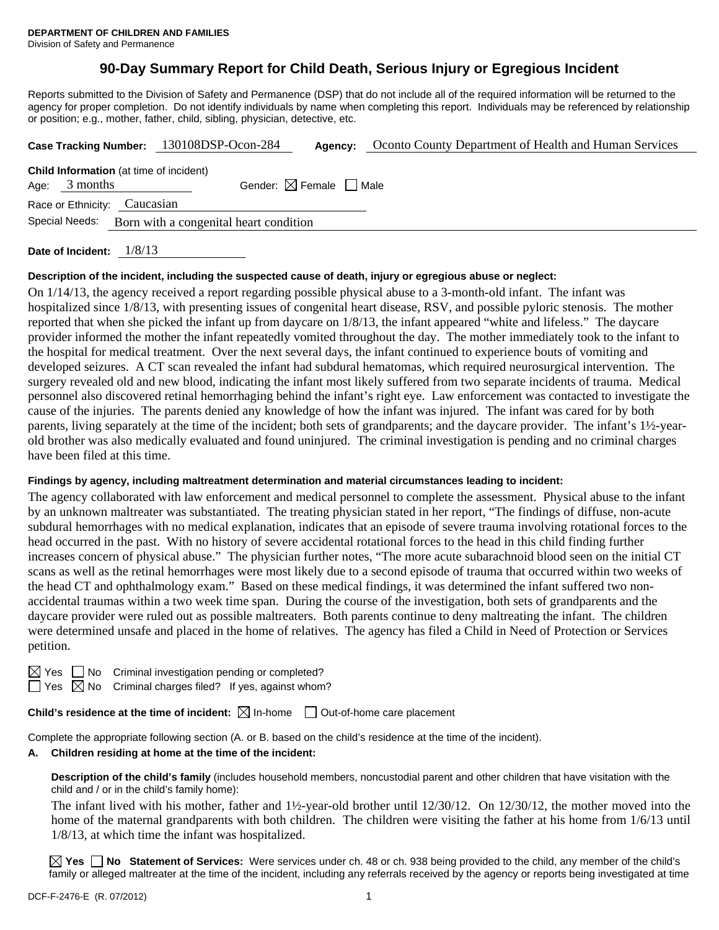# **90-Day Summary Report for Child Death, Serious Injury or Egregious Incident**

Reports submitted to the Division of Safety and Permanence (DSP) that do not include all of the required information will be returned to the agency for proper completion. Do not identify individuals by name when completing this report. Individuals may be referenced by relationship or position; e.g., mother, father, child, sibling, physician, detective, etc.

| Case Tracking Number: 130108DSP-Ocon-284 |                                                                   |                                        |                                        | Agency: | Oconto County Department of Health and Human Services |  |  |
|------------------------------------------|-------------------------------------------------------------------|----------------------------------------|----------------------------------------|---------|-------------------------------------------------------|--|--|
|                                          | <b>Child Information</b> (at time of incident)<br>Age: $3$ months |                                        | Gender: $\boxtimes$ Female $\Box$ Male |         |                                                       |  |  |
|                                          | Race or Ethnicity: Caucasian                                      |                                        |                                        |         |                                                       |  |  |
|                                          | Special Needs:                                                    | Born with a congenital heart condition |                                        |         |                                                       |  |  |
|                                          |                                                                   |                                        |                                        |         |                                                       |  |  |

**Date of Incident:** 1/8/13

### **Description of the incident, including the suspected cause of death, injury or egregious abuse or neglect:**

On 1/14/13, the agency received a report regarding possible physical abuse to a 3-month-old infant. The infant was hospitalized since 1/8/13, with presenting issues of congenital heart disease, RSV, and possible pyloric stenosis. The mother reported that when she picked the infant up from daycare on 1/8/13, the infant appeared "white and lifeless." The daycare provider informed the mother the infant repeatedly vomited throughout the day. The mother immediately took to the infant to the hospital for medical treatment. Over the next several days, the infant continued to experience bouts of vomiting and developed seizures. A CT scan revealed the infant had subdural hematomas, which required neurosurgical intervention. The surgery revealed old and new blood, indicating the infant most likely suffered from two separate incidents of trauma. Medical personnel also discovered retinal hemorrhaging behind the infant's right eye. Law enforcement was contacted to investigate the cause of the injuries. The parents denied any knowledge of how the infant was injured. The infant was cared for by both parents, living separately at the time of the incident; both sets of grandparents; and the daycare provider. The infant's 1½-yearold brother was also medically evaluated and found uninjured. The criminal investigation is pending and no criminal charges have been filed at this time.

### **Findings by agency, including maltreatment determination and material circumstances leading to incident:**

The agency collaborated with law enforcement and medical personnel to complete the assessment. Physical abuse to the infant by an unknown maltreater was substantiated. The treating physician stated in her report, "The findings of diffuse, non-acute subdural hemorrhages with no medical explanation, indicates that an episode of severe trauma involving rotational forces to the head occurred in the past. With no history of severe accidental rotational forces to the head in this child finding further increases concern of physical abuse." The physician further notes, "The more acute subarachnoid blood seen on the initial CT scans as well as the retinal hemorrhages were most likely due to a second episode of trauma that occurred within two weeks of the head CT and ophthalmology exam." Based on these medical findings, it was determined the infant suffered two nonaccidental traumas within a two week time span. During the course of the investigation, both sets of grandparents and the daycare provider were ruled out as possible maltreaters. Both parents continue to deny maltreating the infant. The children were determined unsafe and placed in the home of relatives. The agency has filed a Child in Need of Protection or Services petition.

No Criminal investigation pending or completed?

 $\Box$  Yes  $\boxtimes$  No Criminal charges filed? If yes, against whom?

**Child's residence at the time of incident:**  $\boxtimes$  In-home  $\Box$  Out-of-home care placement

Complete the appropriate following section (A. or B. based on the child's residence at the time of the incident).

# **A. Children residing at home at the time of the incident:**

**Description of the child's family** (includes household members, noncustodial parent and other children that have visitation with the child and / or in the child's family home):

 The infant lived with his mother, father and 1½-year-old brother until 12/30/12. On 12/30/12, the mother moved into the home of the maternal grandparents with both children. The children were visiting the father at his home from 1/6/13 until 1/8/13, at which time the infant was hospitalized.

**Yes No Statement of Services:** Were services under ch. 48 or ch. 938 being provided to the child, any member of the child's family or alleged maltreater at the time of the incident, including any referrals received by the agency or reports being investigated at time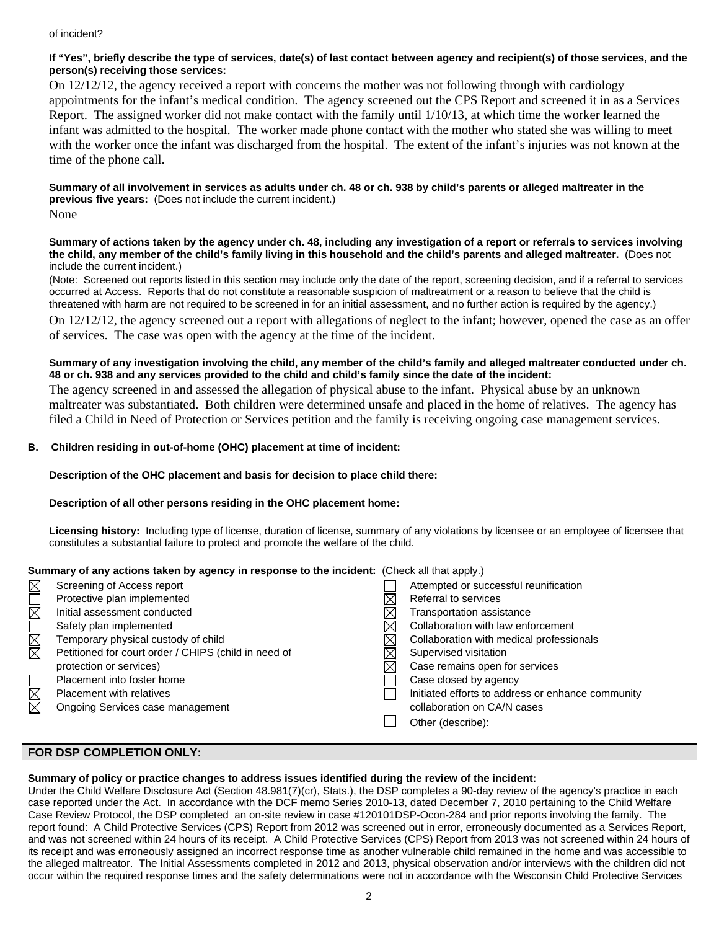#### of incident?

### **If "Yes", briefly describe the type of services, date(s) of last contact between agency and recipient(s) of those services, and the person(s) receiving those services:**

On 12/12/12, the agency received a report with concerns the mother was not following through with cardiology appointments for the infant's medical condition. The agency screened out the CPS Report and screened it in as a Services Report. The assigned worker did not make contact with the family until 1/10/13, at which time the worker learned the infant was admitted to the hospital. The worker made phone contact with the mother who stated she was willing to meet with the worker once the infant was discharged from the hospital. The extent of the infant's injuries was not known at the time of the phone call.

**Summary of all involvement in services as adults under ch. 48 or ch. 938 by child's parents or alleged maltreater in the previous five years:** (Does not include the current incident.) None

#### **Summary of actions taken by the agency under ch. 48, including any investigation of a report or referrals to services involving the child, any member of the child's family living in this household and the child's parents and alleged maltreater.** (Does not include the current incident.)

(Note: Screened out reports listed in this section may include only the date of the report, screening decision, and if a referral to services occurred at Access. Reports that do not constitute a reasonable suspicion of maltreatment or a reason to believe that the child is threatened with harm are not required to be screened in for an initial assessment, and no further action is required by the agency.) On 12/12/12, the agency screened out a report with allegations of neglect to the infant; however, opened the case as an offer

of services. The case was open with the agency at the time of the incident.

### **Summary of any investigation involving the child, any member of the child's family and alleged maltreater conducted under ch. 48 or ch. 938 and any services provided to the child and child's family since the date of the incident:**

The agency screened in and assessed the allegation of physical abuse to the infant. Physical abuse by an unknown maltreater was substantiated. Both children were determined unsafe and placed in the home of relatives. The agency has filed a Child in Need of Protection or Services petition and the family is receiving ongoing case management services.

## **B. Children residing in out-of-home (OHC) placement at time of incident:**

### **Description of the OHC placement and basis for decision to place child there:**

### **Description of all other persons residing in the OHC placement home:**

**Licensing history:** Including type of license, duration of license, summary of any violations by licensee or an employee of licensee that constitutes a substantial failure to protect and promote the welfare of the child.

### **Summary of any actions taken by agency in response to the incident:** (Check all that apply.)

| $\boxtimes$            | Screening of Access report                           | Attempted or successful reunification             |
|------------------------|------------------------------------------------------|---------------------------------------------------|
|                        | Protective plan implemented                          | Referral to services                              |
| $\overline{\boxtimes}$ | Initial assessment conducted                         | Transportation assistance                         |
| MMO                    | Safety plan implemented                              | Collaboration with law enforcement                |
|                        | Temporary physical custody of child                  | Collaboration with medical professionals          |
|                        | Petitioned for court order / CHIPS (child in need of | Supervised visitation                             |
|                        | protection or services)                              | Case remains open for services                    |
|                        | Placement into foster home                           | Case closed by agency                             |
| $\boxtimes$            | Placement with relatives                             | Initiated efforts to address or enhance community |
|                        | Ongoing Services case management                     | collaboration on CA/N cases                       |
|                        |                                                      | Other (describe):                                 |
|                        |                                                      |                                                   |

## **FOR DSP COMPLETION ONLY:**

# **Summary of policy or practice changes to address issues identified during the review of the incident:**

Under the Child Welfare Disclosure Act (Section 48.981(7)(cr), Stats.), the DSP completes a 90-day review of the agency's practice in each case reported under the Act. In accordance with the DCF memo Series 2010-13, dated December 7, 2010 pertaining to the Child Welfare Case Review Protocol, the DSP completed an on-site review in case #120101DSP-Ocon-284 and prior reports involving the family. The report found: A Child Protective Services (CPS) Report from 2012 was screened out in error, erroneously documented as a Services Report, and was not screened within 24 hours of its receipt. A Child Protective Services (CPS) Report from 2013 was not screened within 24 hours of its receipt and was erroneously assigned an incorrect response time as another vulnerable child remained in the home and was accessible to the alleged maltreator. The Initial Assessments completed in 2012 and 2013, physical observation and/or interviews with the children did not occur within the required response times and the safety determinations were not in accordance with the Wisconsin Child Protective Services